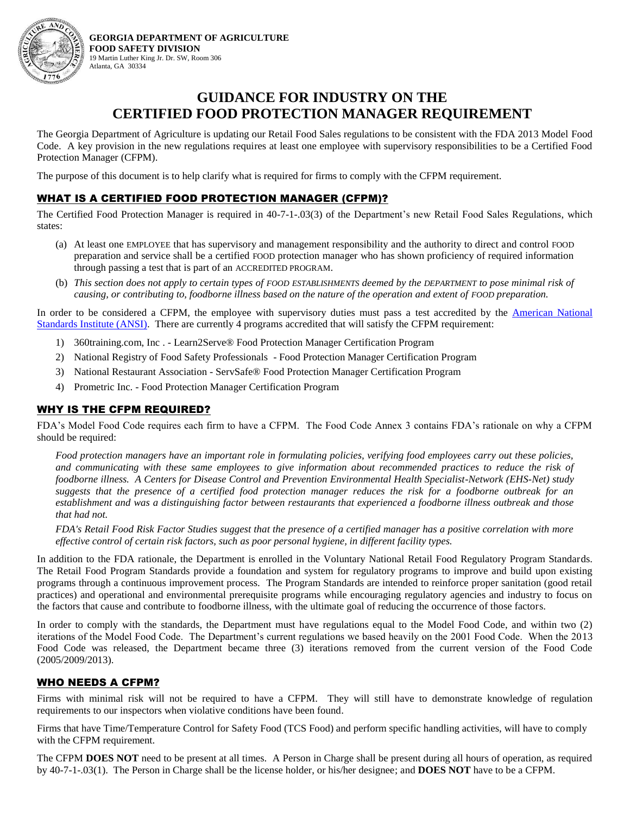

**GEORGIA DEPARTMENT OF AGRICULTURE FOOD SAFETY DIVISION** 19 Martin Luther King Jr. Dr. SW, Room 306 Atlanta, GA 30334

# **GUIDANCE FOR INDUSTRY ON THE CERTIFIED FOOD PROTECTION MANAGER REQUIREMENT**

The Georgia Department of Agriculture is updating our Retail Food Sales regulations to be consistent with the FDA 2013 Model Food Code. A key provision in the new regulations requires at least one employee with supervisory responsibilities to be a Certified Food Protection Manager (CFPM).

The purpose of this document is to help clarify what is required for firms to comply with the CFPM requirement.

## WHAT IS A CERTIFIED FOOD PROTECTION MANAGER (CFPM)?

The Certified Food Protection Manager is required in 40-7-1-.03(3) of the Department's new Retail Food Sales Regulations, which states:

- (a) At least one EMPLOYEE that has supervisory and management responsibility and the authority to direct and control FOOD preparation and service shall be a certified FOOD protection manager who has shown proficiency of required information through passing a test that is part of an ACCREDITED PROGRAM.
- (b) *This section does not apply to certain types of FOOD ESTABLISHMENTS deemed by the DEPARTMENT to pose minimal risk of causing, or contributing to, foodborne illness based on the nature of the operation and extent of FOOD preparation.*

In order to be considered a CFPM, the employee with supervisory duties must pass a test accredited by the American National [Standards Institute \(ANSI\).](https://www.ansica.org/wwwversion2/outside/ALLdirectoryListing.asp?menuID=8&prgID=8&status=4) There are currently 4 programs accredited that will satisfy the CFPM requirement:

- 1) 360training.com, Inc . Learn2Serve® Food Protection Manager Certification Program
- 2) National Registry of Food Safety Professionals Food Protection Manager Certification Program
- 3) National Restaurant Association ServSafe® Food Protection Manager Certification Program
- 4) Prometric Inc. Food Protection Manager Certification Program

#### WHY IS THE CFPM REQUIRED?

FDA's Model Food Code requires each firm to have a CFPM. The Food Code Annex 3 contains FDA's rationale on why a CFPM should be required:

*Food protection managers have an important role in formulating policies, verifying food employees carry out these policies, and communicating with these same employees to give information about recommended practices to reduce the risk of foodborne illness. A Centers for Disease Control and Prevention Environmental Health Specialist-Network (EHS-Net) study suggests that the presence of a certified food protection manager reduces the risk for a foodborne outbreak for an establishment and was a distinguishing factor between restaurants that experienced a foodborne illness outbreak and those that had not.* 

*FDA's Retail Food Risk Factor Studies suggest that the presence of a certified manager has a positive correlation with more effective control of certain risk factors, such as poor personal hygiene, in different facility types.*

In addition to the FDA rationale, the Department is enrolled in the Voluntary National Retail Food Regulatory Program Standards. The Retail Food Program Standards provide a foundation and system for regulatory programs to improve and build upon existing programs through a continuous improvement process. The Program Standards are intended to reinforce proper sanitation (good retail practices) and operational and environmental prerequisite programs while encouraging regulatory agencies and industry to focus on the factors that cause and contribute to foodborne illness, with the ultimate goal of reducing the occurrence of those factors.

In order to comply with the standards, the Department must have regulations equal to the Model Food Code, and within two (2) iterations of the Model Food Code. The Department's current regulations we based heavily on the 2001 Food Code. When the 2013 Food Code was released, the Department became three (3) iterations removed from the current version of the Food Code (2005/2009/2013).

### WHO NEEDS A CFPM?

Firms with minimal risk will not be required to have a CFPM. They will still have to demonstrate knowledge of regulation requirements to our inspectors when violative conditions have been found.

Firms that have Time/Temperature Control for Safety Food (TCS Food) and perform specific handling activities, will have to comply with the CFPM requirement.

The CFPM **DOES NOT** need to be present at all times. A Person in Charge shall be present during all hours of operation, as required by 40-7-1-.03(1). The Person in Charge shall be the license holder, or his/her designee; and **DOES NOT** have to be a CFPM.